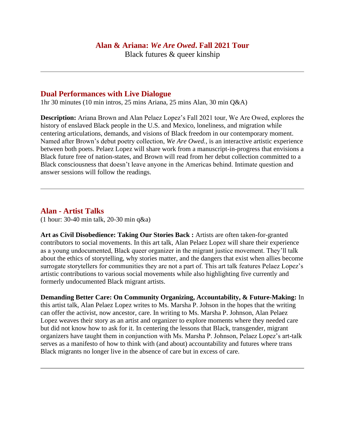### **Alan & Ariana:** *We Are Owed***. Fall 2021 Tour**

Black futures & queer kinship

### **Dual Performances with Live Dialogue**

1hr 30 minutes (10 min intros, 25 mins Ariana, 25 mins Alan, 30 min Q&A)

**Description:** Ariana Brown and Alan Pelaez Lopez's Fall 2021 tour, We Are Owed, explores the history of enslaved Black people in the U.S. and Mexico, loneliness, and migration while centering articulations, demands, and visions of Black freedom in our contemporary moment. Named after Brown's debut poetry collection, *We Are Owed.*, is an interactive artistic experience between both poets. Pelaez Lopez will share work from a manuscript-in-progress that envisions a Black future free of nation-states, and Brown will read from her debut collection committed to a Black consciousness that doesn't leave anyone in the Americas behind. Intimate question and answer sessions will follow the readings.

### **Alan - Artist Talks**

(1 hour: 30-40 min talk, 20-30 min q&a)

**Art as Civil Disobedience: Taking Our Stories Back :** Artists are often taken-for-granted contributors to social movements. In this art talk, Alan Pelaez Lopez will share their experience as a young undocumented, Black queer organizer in the migrant justice movement. They'll talk about the ethics of storytelling, why stories matter, and the dangers that exist when allies become surrogate storytellers for communities they are not a part of. This art talk features Pelaez Lopez's artistic contributions to various social movements while also highlighting five currently and formerly undocumented Black migrant artists.

**Demanding Better Care: On Community Organizing, Accountability, & Future-Making:** In this artist talk, Alan Pelaez Lopez writes to Ms. Marsha P. Johson in the hopes that the writing can offer the activist, now ancestor, care. In writing to Ms. Marsha P. Johnson, Alan Pelaez Lopez weaves their story as an artist and organizer to explore moments where they needed care but did not know how to ask for it. In centering the lessons that Black, transgender, migrant organizers have taught them in conjunction with Ms. Marsha P. Johnson, Pelaez Lopez's art-talk serves as a manifesto of how to think with (and about) accountability and futures where trans Black migrants no longer live in the absence of care but in excess of care.